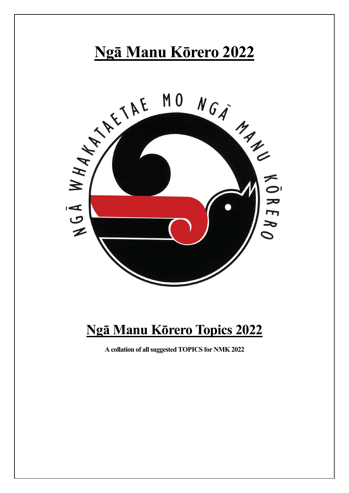

# **Ngā Manu Kōrero Topics 2022**

**A collation of all suggested TOPICS for NMK 2022**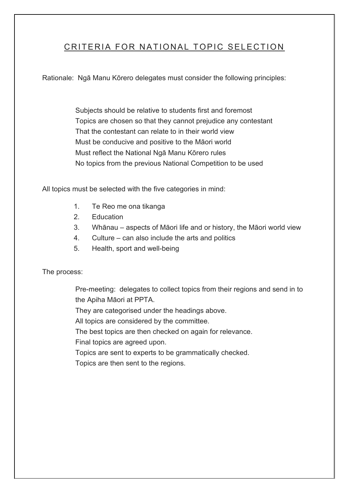# CRITERIA FOR NATIONAL TOPIC SELECTION

Rationale: Ngā Manu Kōrero delegates must consider the following principles:

Subjects should be relative to students first and foremost Topics are chosen so that they cannot prejudice any contestant That the contestant can relate to in their world view Must be conducive and positive to the Māori world Must reflect the National Ngā Manu Kōrero rules No topics from the previous National Competition to be used

All topics must be selected with the five categories in mind:

- 1. Te Reo me ona tikanga
- 2. Education
- 3. Whānau aspects of Māori life and or history, the Māori world view
- 4. Culture can also include the arts and politics
- 5. Health, sport and well-being

The process:

Pre-meeting: delegates to collect topics from their regions and send in to the Apiha Māori at PPTA.

They are categorised under the headings above.

All topics are considered by the committee.

The best topics are then checked on again for relevance.

Final topics are agreed upon.

Topics are sent to experts to be grammatically checked.

Topics are then sent to the regions.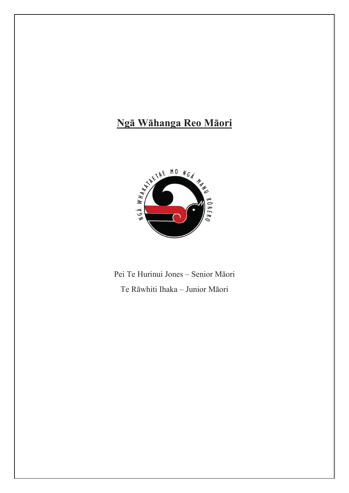# Ngā Wāhanga Reo Māori



Pei Te Hurinui Jones - Senior Māori Te Rāwhiti Ihaka - Junior Māori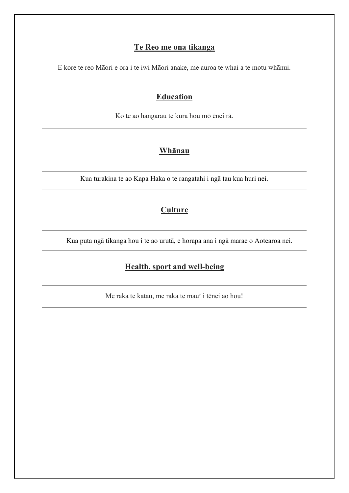#### **Te Reo me ona tikanga**

E kore te reo Māori e ora i te iwi Māori anake, me auroa te whai a te motu whānui.

### **Education**

Ko te ao hangarau te kura hou mō ēnei rā.

#### **Whānau**

Kua turakina te ao Kapa Haka o te rangatahi i ngā tau kua huri nei.

# **Culture**

Kua puta ngā tikanga hou i te ao urutā, e horapa ana i ngā marae o Aotearoa nei.

# **Health, sport and well-being**

Me raka te katau, me raka te mauī i tēnei ao hou!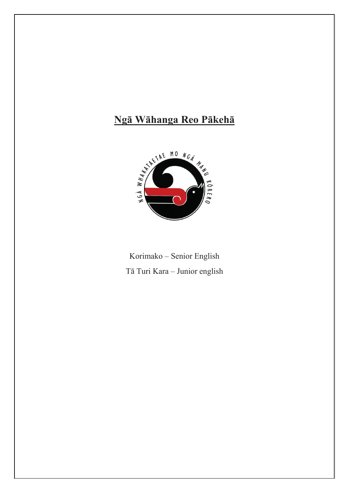# Ngā Wāhanga Reo Pākehā



Korimako - Senior English Tā Turi Kara - Junior english